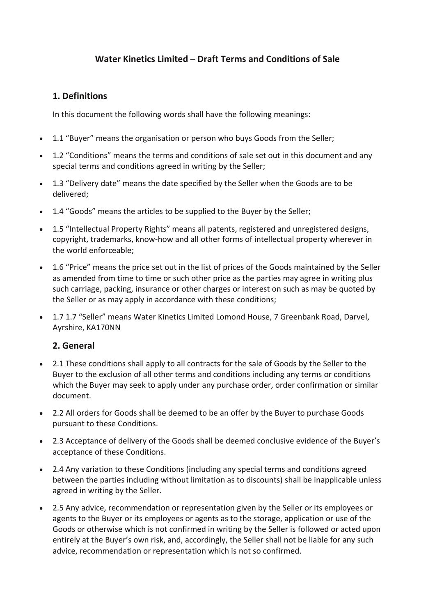## **Water Kinetics Limited – Draft Terms and Conditions of Sale**

## **1. Definitions**

In this document the following words shall have the following meanings:

- 1.1 "Buyer" means the organisation or person who buys Goods from the Seller;
- 1.2 "Conditions" means the terms and conditions of sale set out in this document and any special terms and conditions agreed in writing by the Seller;
- 1.3 "Delivery date" means the date specified by the Seller when the Goods are to be delivered;
- 1.4 "Goods" means the articles to be supplied to the Buyer by the Seller;
- 1.5 "Intellectual Property Rights" means all patents, registered and unregistered designs, copyright, trademarks, know-how and all other forms of intellectual property wherever in the world enforceable;
- 1.6 "Price" means the price set out in the list of prices of the Goods maintained by the Seller as amended from time to time or such other price as the parties may agree in writing plus such carriage, packing, insurance or other charges or interest on such as may be quoted by the Seller or as may apply in accordance with these conditions;
- 1.7 1.7 "Seller" means Water Kinetics Limited Lomond House, 7 Greenbank Road, Darvel, Ayrshire, KA170NN

## **2. General**

- 2.1 These conditions shall apply to all contracts for the sale of Goods by the Seller to the Buyer to the exclusion of all other terms and conditions including any terms or conditions which the Buyer may seek to apply under any purchase order, order confirmation or similar document.
- 2.2 All orders for Goods shall be deemed to be an offer by the Buyer to purchase Goods pursuant to these Conditions.
- 2.3 Acceptance of delivery of the Goods shall be deemed conclusive evidence of the Buyer's acceptance of these Conditions.
- 2.4 Any variation to these Conditions (including any special terms and conditions agreed between the parties including without limitation as to discounts) shall be inapplicable unless agreed in writing by the Seller.
- 2.5 Any advice, recommendation or representation given by the Seller or its employees or agents to the Buyer or its employees or agents as to the storage, application or use of the Goods or otherwise which is not confirmed in writing by the Seller is followed or acted upon entirely at the Buyer's own risk, and, accordingly, the Seller shall not be liable for any such advice, recommendation or representation which is not so confirmed.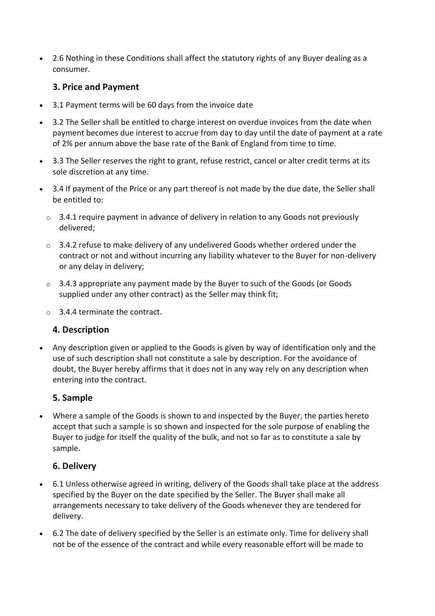• 2.6 Nothing in these Conditions shall affect the statutory rights of any Buyer dealing as a consumer.

## **3. Price and Payment**

- 3.1 Payment terms will be 60 days from the invoice date
- 3.2 The Seller shall be entitled to charge interest on overdue invoices from the date when payment becomes due interest to accrue from day to day until the date of payment at a rate of 2% per annum above the base rate of the Bank of England from time to time.
- 3.3 The Seller reserves the right to grant, refuse restrict, cancel or alter credit terms at its sole discretion at any time.
- 3.4 If payment of the Price or any part thereof is not made by the due date, the Seller shall be entitled to:
	- $\circ$  3.4.1 require payment in advance of delivery in relation to any Goods not previously delivered;
	- $\circ$  3.4.2 refuse to make delivery of any undelivered Goods whether ordered under the contract or not and without incurring any liability whatever to the Buyer for non-delivery or any delay in delivery;
	- o 3.4.3 appropriate any payment made by the Buyer to such of the Goods (or Goods supplied under any other contract) as the Seller may think fit;
	- o 3.4.4 terminate the contract.

## **4. Description**

• Any description given or applied to the Goods is given by way of identification only and the use of such description shall not constitute a sale by description. For the avoidance of doubt, the Buyer hereby affirms that it does not in any way rely on any description when entering into the contract.

## **5. Sample**

• Where a sample of the Goods is shown to and inspected by the Buyer, the parties hereto accept that such a sample is so shown and inspected for the sole purpose of enabling the Buyer to judge for itself the quality of the bulk, and not so far as to constitute a sale by sample.

# **6. Delivery**

- 6.1 Unless otherwise agreed in writing, delivery of the Goods shall take place at the address specified by the Buyer on the date specified by the Seller. The Buyer shall make all arrangements necessary to take delivery of the Goods whenever they are tendered for delivery.
- 6.2 The date of delivery specified by the Seller is an estimate only. Time for delivery shall not be of the essence of the contract and while every reasonable effort will be made to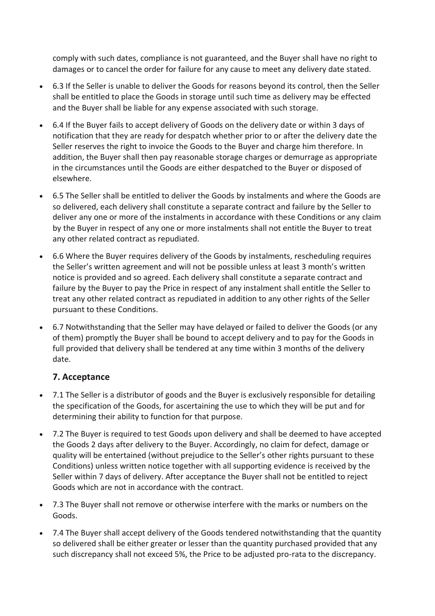comply with such dates, compliance is not guaranteed, and the Buyer shall have no right to damages or to cancel the order for failure for any cause to meet any delivery date stated.

- 6.3 If the Seller is unable to deliver the Goods for reasons beyond its control, then the Seller shall be entitled to place the Goods in storage until such time as delivery may be effected and the Buyer shall be liable for any expense associated with such storage.
- 6.4 If the Buyer fails to accept delivery of Goods on the delivery date or within 3 days of notification that they are ready for despatch whether prior to or after the delivery date the Seller reserves the right to invoice the Goods to the Buyer and charge him therefore. In addition, the Buyer shall then pay reasonable storage charges or demurrage as appropriate in the circumstances until the Goods are either despatched to the Buyer or disposed of elsewhere.
- 6.5 The Seller shall be entitled to deliver the Goods by instalments and where the Goods are so delivered, each delivery shall constitute a separate contract and failure by the Seller to deliver any one or more of the instalments in accordance with these Conditions or any claim by the Buyer in respect of any one or more instalments shall not entitle the Buyer to treat any other related contract as repudiated.
- 6.6 Where the Buyer requires delivery of the Goods by instalments, rescheduling requires the Seller's written agreement and will not be possible unless at least 3 month's written notice is provided and so agreed. Each delivery shall constitute a separate contract and failure by the Buyer to pay the Price in respect of any instalment shall entitle the Seller to treat any other related contract as repudiated in addition to any other rights of the Seller pursuant to these Conditions.
- 6.7 Notwithstanding that the Seller may have delayed or failed to deliver the Goods (or any of them) promptly the Buyer shall be bound to accept delivery and to pay for the Goods in full provided that delivery shall be tendered at any time within 3 months of the delivery date.

# **7. Acceptance**

- 7.1 The Seller is a distributor of goods and the Buyer is exclusively responsible for detailing the specification of the Goods, for ascertaining the use to which they will be put and for determining their ability to function for that purpose.
- 7.2 The Buyer is required to test Goods upon delivery and shall be deemed to have accepted the Goods 2 days after delivery to the Buyer. Accordingly, no claim for defect, damage or quality will be entertained (without prejudice to the Seller's other rights pursuant to these Conditions) unless written notice together with all supporting evidence is received by the Seller within 7 days of delivery. After acceptance the Buyer shall not be entitled to reject Goods which are not in accordance with the contract.
- 7.3 The Buyer shall not remove or otherwise interfere with the marks or numbers on the Goods.
- 7.4 The Buyer shall accept delivery of the Goods tendered notwithstanding that the quantity so delivered shall be either greater or lesser than the quantity purchased provided that any such discrepancy shall not exceed 5%, the Price to be adjusted pro-rata to the discrepancy.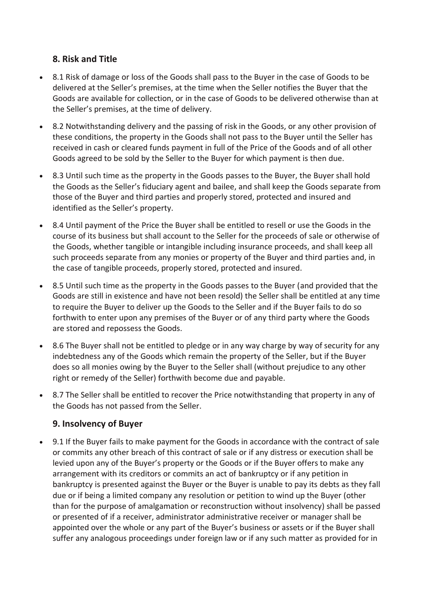## **8. Risk and Title**

- 8.1 Risk of damage or loss of the Goods shall pass to the Buyer in the case of Goods to be delivered at the Seller's premises, at the time when the Seller notifies the Buyer that the Goods are available for collection, or in the case of Goods to be delivered otherwise than at the Seller's premises, at the time of delivery.
- 8.2 Notwithstanding delivery and the passing of risk in the Goods, or any other provision of these conditions, the property in the Goods shall not pass to the Buyer until the Seller has received in cash or cleared funds payment in full of the Price of the Goods and of all other Goods agreed to be sold by the Seller to the Buyer for which payment is then due.
- 8.3 Until such time as the property in the Goods passes to the Buyer, the Buyer shall hold the Goods as the Seller's fiduciary agent and bailee, and shall keep the Goods separate from those of the Buyer and third parties and properly stored, protected and insured and identified as the Seller's property.
- 8.4 Until payment of the Price the Buyer shall be entitled to resell or use the Goods in the course of its business but shall account to the Seller for the proceeds of sale or otherwise of the Goods, whether tangible or intangible including insurance proceeds, and shall keep all such proceeds separate from any monies or property of the Buyer and third parties and, in the case of tangible proceeds, properly stored, protected and insured.
- 8.5 Until such time as the property in the Goods passes to the Buyer (and provided that the Goods are still in existence and have not been resold) the Seller shall be entitled at any time to require the Buyer to deliver up the Goods to the Seller and if the Buyer fails to do so forthwith to enter upon any premises of the Buyer or of any third party where the Goods are stored and repossess the Goods.
- 8.6 The Buyer shall not be entitled to pledge or in any way charge by way of security for any indebtedness any of the Goods which remain the property of the Seller, but if the Buyer does so all monies owing by the Buyer to the Seller shall (without prejudice to any other right or remedy of the Seller) forthwith become due and payable.
- 8.7 The Seller shall be entitled to recover the Price notwithstanding that property in any of the Goods has not passed from the Seller.

## **9. Insolvency of Buyer**

• 9.1 If the Buyer fails to make payment for the Goods in accordance with the contract of sale or commits any other breach of this contract of sale or if any distress or execution shall be levied upon any of the Buyer's property or the Goods or if the Buyer offers to make any arrangement with its creditors or commits an act of bankruptcy or if any petition in bankruptcy is presented against the Buyer or the Buyer is unable to pay its debts as they fall due or if being a limited company any resolution or petition to wind up the Buyer (other than for the purpose of amalgamation or reconstruction without insolvency) shall be passed or presented of if a receiver, administrator administrative receiver or manager shall be appointed over the whole or any part of the Buyer's business or assets or if the Buyer shall suffer any analogous proceedings under foreign law or if any such matter as provided for in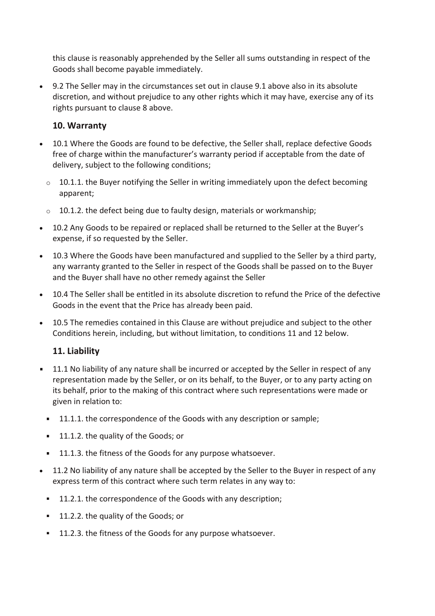this clause is reasonably apprehended by the Seller all sums outstanding in respect of the Goods shall become payable immediately.

• 9.2 The Seller may in the circumstances set out in clause 9.1 above also in its absolute discretion, and without prejudice to any other rights which it may have, exercise any of its rights pursuant to clause 8 above.

## **10. Warranty**

- 10.1 Where the Goods are found to be defective, the Seller shall, replace defective Goods free of charge within the manufacturer's warranty period if acceptable from the date of delivery, subject to the following conditions;
	- $\circ$  10.1.1. the Buyer notifying the Seller in writing immediately upon the defect becoming apparent;
	- $\circ$  10.1.2. the defect being due to faulty design, materials or workmanship;
- 10.2 Any Goods to be repaired or replaced shall be returned to the Seller at the Buyer's expense, if so requested by the Seller.
- 10.3 Where the Goods have been manufactured and supplied to the Seller by a third party, any warranty granted to the Seller in respect of the Goods shall be passed on to the Buyer and the Buyer shall have no other remedy against the Seller
- 10.4 The Seller shall be entitled in its absolute discretion to refund the Price of the defective Goods in the event that the Price has already been paid.
- 10.5 The remedies contained in this Clause are without prejudice and subject to the other Conditions herein, including, but without limitation, to conditions 11 and 12 below.

# **11. Liability**

- 11.1 No liability of any nature shall be incurred or accepted by the Seller in respect of any representation made by the Seller, or on its behalf, to the Buyer, or to any party acting on its behalf, prior to the making of this contract where such representations were made or given in relation to:
	- **11.1.1.** the correspondence of the Goods with any description or sample;
	- <sup>1</sup> 11.1.2. the quality of the Goods; or
	- **11.1.3. the fitness of the Goods for any purpose whatsoever.**
- 11.2 No liability of any nature shall be accepted by the Seller to the Buyer in respect of any express term of this contract where such term relates in any way to:
	- **11.2.1.** the correspondence of the Goods with any description;
	- <sup>1</sup> 11.2.2. the quality of the Goods; or
	- **11.2.3. the fitness of the Goods for any purpose whatsoever.**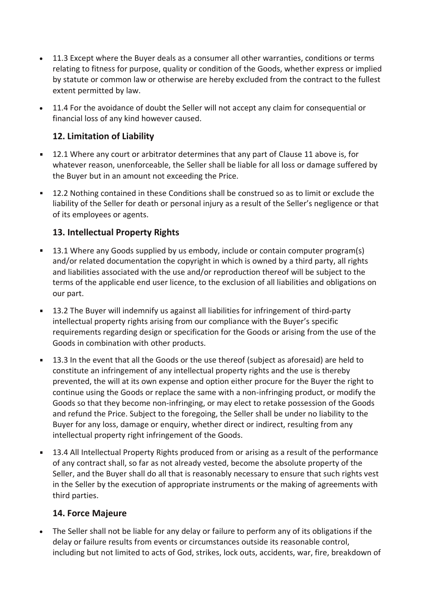- 11.3 Except where the Buyer deals as a consumer all other warranties, conditions or terms relating to fitness for purpose, quality or condition of the Goods, whether express or implied by statute or common law or otherwise are hereby excluded from the contract to the fullest extent permitted by law.
- 11.4 For the avoidance of doubt the Seller will not accept any claim for consequential or financial loss of any kind however caused.

# **12. Limitation of Liability**

- 12.1 Where any court or arbitrator determines that any part of Clause 11 above is, for whatever reason, unenforceable, the Seller shall be liable for all loss or damage suffered by the Buyer but in an amount not exceeding the Price.
- 12.2 Nothing contained in these Conditions shall be construed so as to limit or exclude the liability of the Seller for death or personal injury as a result of the Seller's negligence or that of its employees or agents.

# **13. Intellectual Property Rights**

- 13.1 Where any Goods supplied by us embody, include or contain computer program(s) and/or related documentation the copyright in which is owned by a third party, all rights and liabilities associated with the use and/or reproduction thereof will be subject to the terms of the applicable end user licence, to the exclusion of all liabilities and obligations on our part.
- 13.2 The Buyer will indemnify us against all liabilities for infringement of third-party intellectual property rights arising from our compliance with the Buyer's specific requirements regarding design or specification for the Goods or arising from the use of the Goods in combination with other products.
- 13.3 In the event that all the Goods or the use thereof (subject as aforesaid) are held to constitute an infringement of any intellectual property rights and the use is thereby prevented, the will at its own expense and option either procure for the Buyer the right to continue using the Goods or replace the same with a non-infringing product, or modify the Goods so that they become non-infringing, or may elect to retake possession of the Goods and refund the Price. Subject to the foregoing, the Seller shall be under no liability to the Buyer for any loss, damage or enquiry, whether direct or indirect, resulting from any intellectual property right infringement of the Goods.
- 13.4 All Intellectual Property Rights produced from or arising as a result of the performance of any contract shall, so far as not already vested, become the absolute property of the Seller, and the Buyer shall do all that is reasonably necessary to ensure that such rights vest in the Seller by the execution of appropriate instruments or the making of agreements with third parties.

# **14. Force Majeure**

• The Seller shall not be liable for any delay or failure to perform any of its obligations if the delay or failure results from events or circumstances outside its reasonable control, including but not limited to acts of God, strikes, lock outs, accidents, war, fire, breakdown of